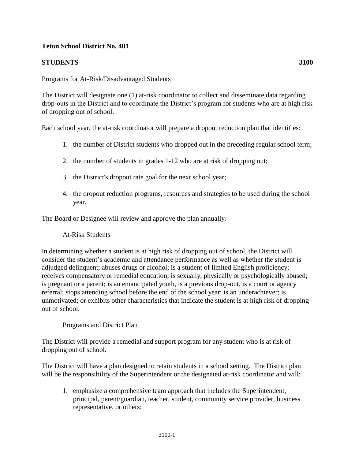# **Teton School District No. 401**

# **STUDENTS 3100**

### Programs for At-Risk/Disadvantaged Students

The District will designate one (1) at-risk coordinator to collect and disseminate data regarding drop-outs in the District and to coordinate the District's program for students who are at high risk of dropping out of school.

Each school year, the at-risk coordinator will prepare a dropout reduction plan that identifies:

- 1. the number of District students who dropped out in the preceding regular school term;
- 2. the number of students in grades 1-12 who are at risk of dropping out;
- 3. the District's dropout rate goal for the next school year;
- 4. the dropout reduction programs, resources and strategies to be used during the school year.

The Board or Designee will review and approve the plan annually.

# At-Risk Students

In determining whether a student is at high risk of dropping out of school, the District will consider the student's academic and attendance performance as well as whether the student is adjudged delinquent; abuses drugs or alcohol; is a student of limited English proficiency; receives compensatory or remedial education; is sexually, physically or psychologically abused; is pregnant or a parent; is an emancipated youth, is a previous drop-out, is a court or agency referral; stops attending school before the end of the school year; is an underachiever; is unmotivated; or exhibits other characteristics that indicate the student is at high risk of dropping out of school.

#### Programs and District Plan

The District will provide a remedial and support program for any student who is at risk of dropping out of school.

The District will have a plan designed to retain students in a school setting. The District plan will be the responsibility of the Superintendent or the designated at-risk coordinator and will:

1. emphasize a comprehensive team approach that includes the Superintendent, principal, parent/guardian, teacher, student, community service provider, business representative, or others;